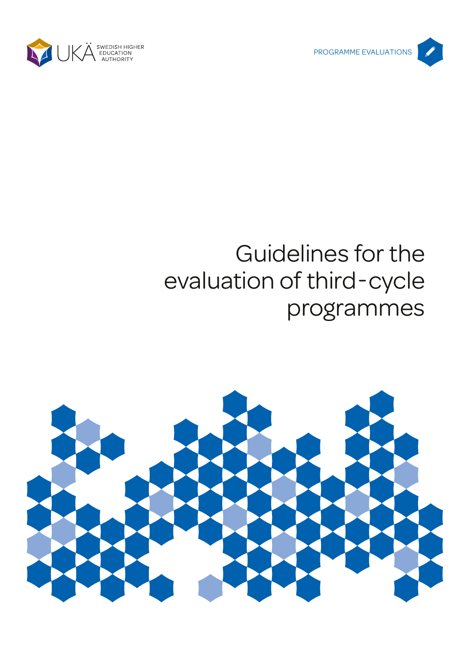



# Guidelines for the evaluation of third-cycle programmes

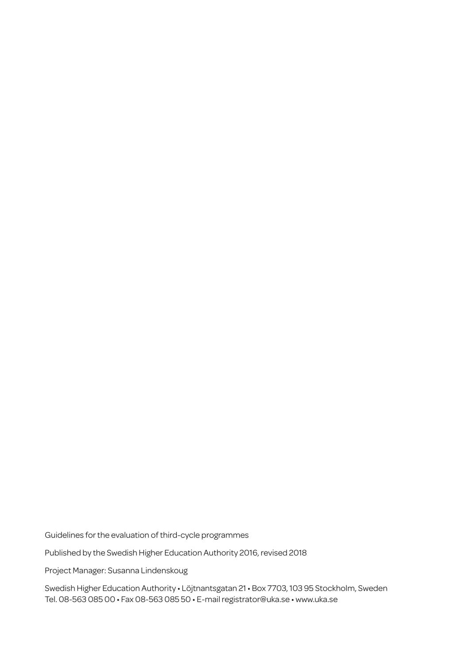Guidelines for the evaluation of third-cycle programmes

Published by the Swedish Higher Education Authority 2016, revised 2018

Project Manager: Susanna Lindenskoug

Swedish Higher Education Authority • Löjtnantsgatan 21 • Box 7703, 103 95 Stockholm, Sweden Tel. 08-563 085 00 • Fax 08-563 085 50 • E-mail registrator@uka.se • www.uka.se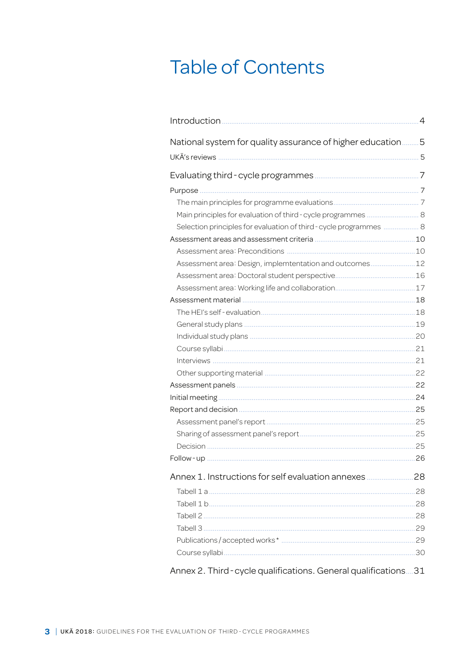# **Table of Contents**

|                                                                    | $\overline{4}$ |
|--------------------------------------------------------------------|----------------|
| National system for quality assurance of higher education          | 5              |
|                                                                    |                |
|                                                                    |                |
|                                                                    |                |
|                                                                    |                |
| Main principles for evaluation of third - cycle programmes  8      |                |
| Selection principles for evaluation of third - cycle programmes  8 |                |
|                                                                    |                |
|                                                                    |                |
| Assessment area: Design, implemtentation and outcomes12            |                |
|                                                                    |                |
|                                                                    |                |
|                                                                    |                |
|                                                                    |                |
|                                                                    |                |
|                                                                    |                |
|                                                                    |                |
|                                                                    |                |
|                                                                    |                |
|                                                                    |                |
|                                                                    |                |
|                                                                    |                |
|                                                                    |                |
|                                                                    |                |
|                                                                    |                |
|                                                                    |                |
|                                                                    |                |
|                                                                    |                |
|                                                                    |                |
|                                                                    |                |
|                                                                    |                |
|                                                                    |                |
|                                                                    |                |
| Annex 2. Third - cycle qualifications. General qualifications31    |                |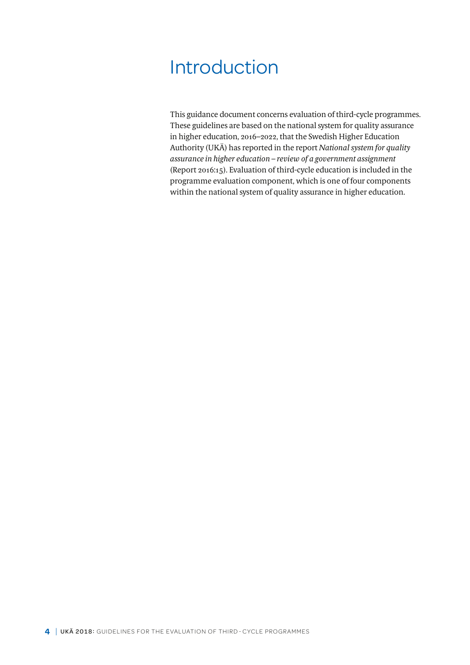# <span id="page-3-0"></span>Introduction

This guidance document concerns evaluation of third-cycle programmes. These guidelines are based on the national system for quality assurance in higher education, 2016–2022, that the Swedish Higher Education Authority (UKÄ) has reported in the report *National system for quality assurance in higher education – review of a government assignment* (Report 2016:15). Evaluation of third-cycle education is included in the programme evaluation component, which is one of four components within the national system of quality assurance in higher education.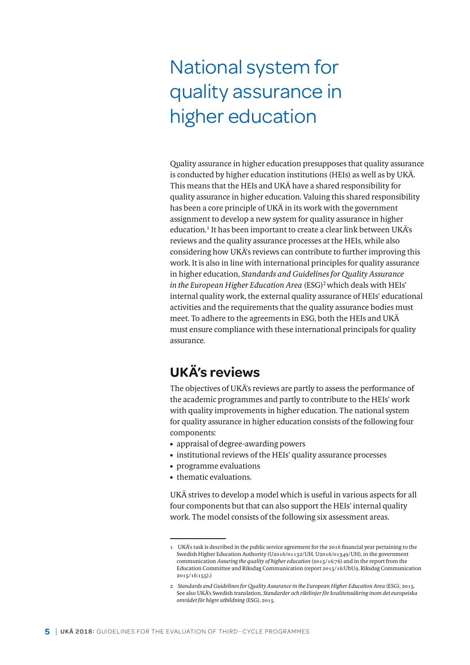# <span id="page-4-0"></span>National system for quality assurance in higher education

Quality assurance in higher education presupposes that quality assurance is conducted by higher education institutions (HEIs) as well as by UKÄ. This means that the HEIs and UKÄ have a shared responsibility for quality assurance in higher education. Valuing this shared responsibility has been a core principle of UKÄ in its work with the government assignment to develop a new system for quality assurance in higher education.<sup>1</sup> It has been important to create a clear link between UKÄ's reviews and the quality assurance processes at the HEIs, while also considering how UKÄ's reviews can contribute to further improving this work. It is also in line with international principles for quality assurance in higher education, *Standards and Guidelines for Quality Assurance in the European Higher Education Area* (ESG)<sup>2</sup> which deals with HEIs' internal quality work, the external quality assurance of HEIs' educational activities and the requirements that the quality assurance bodies must meet. To adhere to the agreements in ESG, both the HEIs and UKÄ must ensure compliance with these international principals for quality assurance.

# **UKÄ's reviews**

The objectives of UKÄ's reviews are partly to assess the performance of the academic programmes and partly to contribute to the HEIs' work with quality improvements in higher education. The national system for quality assurance in higher education consists of the following four components:

- appraisal of degree-awarding powers
- institutional reviews of the HEIs' quality assurance processes
- programme evaluations
- thematic evaluations.

UKÄ strives to develop a model which is useful in various aspects for all four components but that can also support the HEIs' internal quality work. The model consists of the following six assessment areas.

<sup>1</sup> UKÄ's task is described in the public service agreement for the 2016 financial year pertaining to the Swedish Higher Education Authority (U2016/01132/UH, U2016/01349/UH), in the government communication *Assuring the quality of higher education* (2015/16:76) and in the report from the Education Committee and Riksdag Communication (report 2015/16:UbU9, Riksdag Communication 2015/16:155).)

<sup>2</sup> *Standards and Guidelines for Quality Assurance in the European Higher Education Area* (ESG), 2015. See also UKÄ's Swedish translation, *Standarder och riktlinjer för kvalitetssäkring inom det europeiska området för högre utbildning* (ESG), 2015.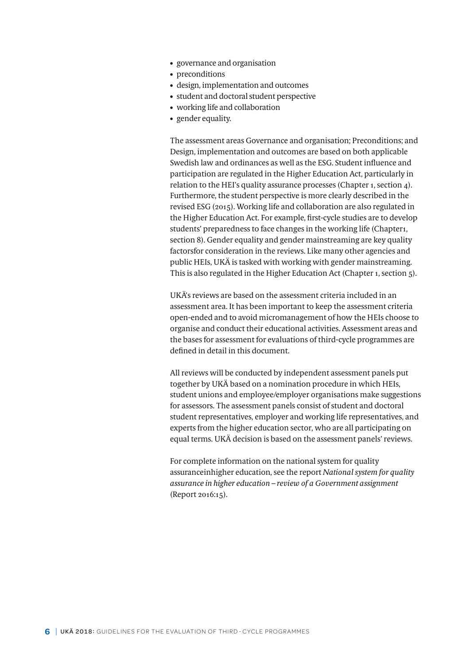- governance and organisation
- preconditions
- design, implementation and outcomes
- student and doctoral student perspective
- working life and collaboration
- gender equality.

The assessment areas Governance and organisation; Preconditions; and Design, implementation and outcomes are based on both applicable Swedish law and ordinances as well as the ESG. Student influence and participation are regulated in the Higher Education Act, particularly in relation to the HEI's quality assurance processes (Chapter 1, section 4). Furthermore, the student perspective is more clearly described in the revised ESG (2015). Working life and collaboration are also regulated in the Higher Education Act. For example, first-cycle studies are to develop students' preparedness to face changes in the working life (Chapter1, section 8). Gender equality and gender mainstreaming are key quality factorsfor consideration in the reviews. Like many other agencies and public HEIs, UKÄ is tasked with working with gender mainstreaming. This is also regulated in the Higher Education Act (Chapter 1, section 5).

UKÄ's reviews are based on the assessment criteria included in an assessment area. It has been important to keep the assessment criteria open-ended and to avoid micromanagement of how the HEIs choose to organise and conduct their educational activities. Assessment areas and the bases for assessment for evaluations of third-cycle programmes are defined in detail in this document.

All reviews will be conducted by independent assessment panels put together by UKÄ based on a nomination procedure in which HEIs, student unions and employee/employer organisations make suggestions for assessors. The assessment panels consist of student and doctoral student representatives, employer and working life representatives, and experts from the higher education sector, who are all participating on equal terms. UKÄ decision is based on the assessment panels' reviews.

For complete information on the national system for quality assuranceinhigher education, see the report *National system for quality assurance in higher education – review of a Government assignment*  (Report 2016:15).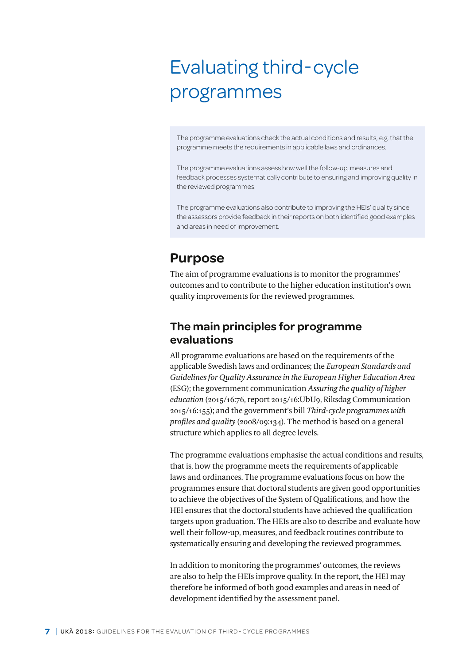# <span id="page-6-0"></span>Evaluating third-cycle programmes

The programme evaluations check the actual conditions and results, e.g. that the programme meets the requirements in applicable laws and ordinances.

The programme evaluations assess how well the follow-up, measures and feedback processes systematically contribute to ensuring and improving quality in the reviewed programmes.

The programme evaluations also contribute to improving the HEIs' quality since the assessors provide feedback in their reports on both identified good examples and areas in need of improvement.

## **Purpose**

The aim of programme evaluations is to monitor the programmes' outcomes and to contribute to the higher education institution's own quality improvements for the reviewed programmes.

## **The main principles for programme evaluations**

All programme evaluations are based on the requirements of the applicable Swedish laws and ordinances; the *European Standards and Guidelines for Quality Assurance in the European Higher Education Area*  (ESG); the government communication *Assuring the quality of higher education* (2015/16:76, report 2015/16:UbU9, Riksdag Communication 2015/16:155); and the government's bill *Third-cycle programmes with profiles and quality* (2008/09:134). The method is based on a general structure which applies to all degree levels.

The programme evaluations emphasise the actual conditions and results, that is, how the programme meets the requirements of applicable laws and ordinances. The programme evaluations focus on how the programmes ensure that doctoral students are given good opportunities to achieve the objectives of the System of Qualifications, and how the HEI ensures that the doctoral students have achieved the qualification targets upon graduation. The HEIs are also to describe and evaluate how well their follow-up, measures, and feedback routines contribute to systematically ensuring and developing the reviewed programmes.

In addition to monitoring the programmes' outcomes, the reviews are also to help the HEIs improve quality. In the report, the HEI may therefore be informed of both good examples and areas in need of development identified by the assessment panel.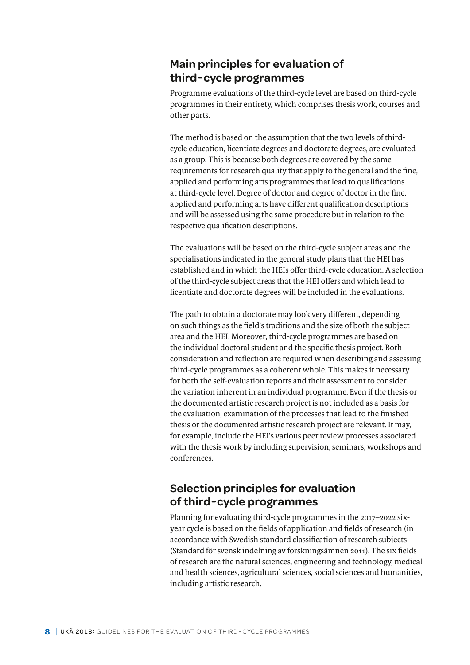## <span id="page-7-0"></span>**Main principles for evaluation of third-cycle programmes**

Programme evaluations of the third-cycle level are based on third-cycle programmes in their entirety, which comprises thesis work, courses and other parts.

The method is based on the assumption that the two levels of thirdcycle education, licentiate degrees and doctorate degrees, are evaluated as a group. This is because both degrees are covered by the same requirements for research quality that apply to the general and the fine, applied and performing arts programmes that lead to qualifications at third-cycle level. Degree of doctor and degree of doctor in the fine, applied and performing arts have different qualification descriptions and will be assessed using the same procedure but in relation to the respective qualification descriptions.

The evaluations will be based on the third-cycle subject areas and the specialisations indicated in the general study plans that the HEI has established and in which the HEIs offer third-cycle education. A selection of the third-cycle subject areas that the HEI offers and which lead to licentiate and doctorate degrees will be included in the evaluations.

The path to obtain a doctorate may look very different, depending on such things as the field's traditions and the size of both the subject area and the HEI. Moreover, third-cycle programmes are based on the individual doctoral student and the specific thesis project. Both consideration and reflection are required when describing and assessing third-cycle programmes as a coherent whole. This makes it necessary for both the self-evaluation reports and their assessment to consider the variation inherent in an individual programme. Even if the thesis or the documented artistic research project is not included as a basis for the evaluation, examination of the processes that lead to the finished thesis or the documented artistic research project are relevant. It may, for example, include the HEI's various peer review processes associated with the thesis work by including supervision, seminars, workshops and conferences.

## **Selection principles for evaluation of third-cycle programmes**

Planning for evaluating third-cycle programmes in the 2017–2022 sixyear cycle is based on the fields of application and fields of research (in accordance with Swedish standard classification of research subjects (Standard för svensk indelning av forskningsämnen 2011). The six fields of research are the natural sciences, engineering and technology, medical and health sciences, agricultural sciences, social sciences and humanities, including artistic research.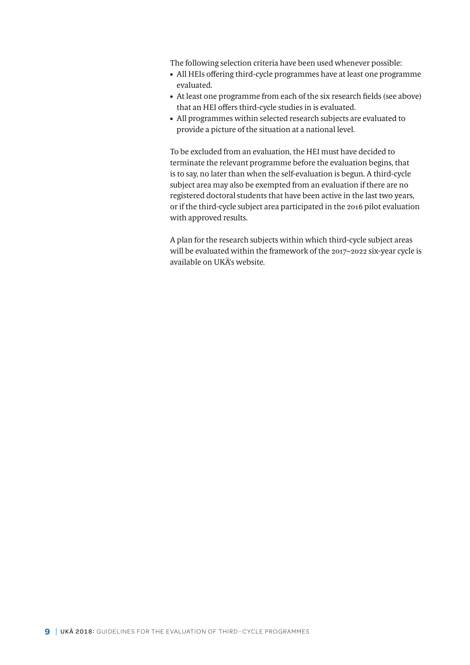The following selection criteria have been used whenever possible:

- All HEIs offering third-cycle programmes have at least one programme evaluated.
- At least one programme from each of the six research fields (see above) that an HEI offers third-cycle studies in is evaluated.
- All programmes within selected research subjects are evaluated to provide a picture of the situation at a national level.

To be excluded from an evaluation, the HEI must have decided to terminate the relevant programme before the evaluation begins, that is to say, no later than when the self-evaluation is begun. A third-cycle subject area may also be exempted from an evaluation if there are no registered doctoral students that have been active in the last two years, or if the third-cycle subject area participated in the 2016 pilot evaluation with approved results.

A plan for the research subjects within which third-cycle subject areas will be evaluated within the framework of the 2017–2022 six-year cycle is available on UKÄ's website.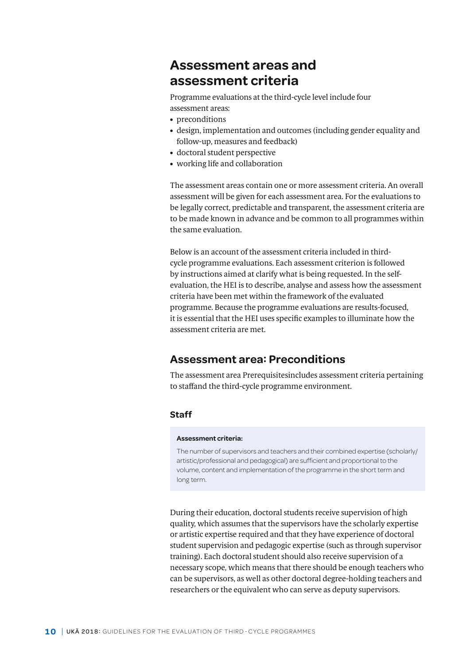## <span id="page-9-0"></span>**Assessment areas and assessment criteria**

Programme evaluations at the third-cycle level include four

- assessment areas:
- preconditions
- design, implementation and outcomes (including gender equality and follow-up, measures and feedback)
- doctoral student perspective
- working life and collaboration

The assessment areas contain one or more assessment criteria. An overall assessment will be given for each assessment area. For the evaluations to be legally correct, predictable and transparent, the assessment criteria are to be made known in advance and be common to all programmes within the same evaluation.

Below is an account of the assessment criteria included in thirdcycle programme evaluations. Each assessment criterion is followed by instructions aimed at clarify what is being requested. In the selfevaluation, the HEI is to describe, analyse and assess how the assessment criteria have been met within the framework of the evaluated programme. Because the programme evaluations are results-focused, it is essential that the HEI uses specific examples to illuminate how the assessment criteria are met.

## **Assessment area: Preconditions**

The assessment area Prerequisitesincludes assessment criteria pertaining to staffand the third-cycle programme environment.

## **Staff**

#### **Assessment criteria:**

The number of supervisors and teachers and their combined expertise (scholarly/ artistic/professional and pedagogical) are sufficient and proportional to the volume, content and implementation of the programme in the short term and long term.

During their education, doctoral students receive supervision of high quality, which assumes that the supervisors have the scholarly expertise or artistic expertise required and that they have experience of doctoral student supervision and pedagogic expertise (such as through supervisor training). Each doctoral student should also receive supervision of a necessary scope, which means that there should be enough teachers who can be supervisors, as well as other doctoral degree-holding teachers and researchers or the equivalent who can serve as deputy supervisors.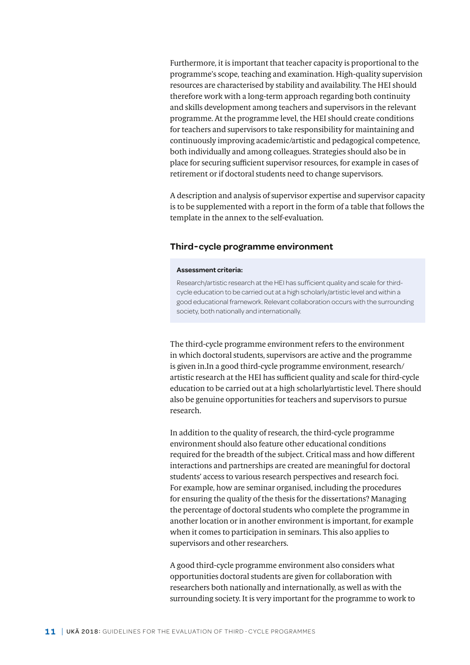Furthermore, it is important that teacher capacity is proportional to the programme's scope, teaching and examination. High-quality supervision resources are characterised by stability and availability. The HEI should therefore work with a long-term approach regarding both continuity and skills development among teachers and supervisors in the relevant programme. At the programme level, the HEI should create conditions for teachers and supervisors to take responsibility for maintaining and continuously improving academic/artistic and pedagogical competence, both individually and among colleagues. Strategies should also be in place for securing sufficient supervisor resources, for example in cases of retirement or if doctoral students need to change supervisors.

A description and analysis of supervisor expertise and supervisor capacity is to be supplemented with a report in the form of a table that follows the template in the annex to the self-evaluation.

#### **Third-cycle programme environment**

#### **Assessment criteria:**

Research/artistic research at the HEI has sufficient quality and scale for thirdcycle education to be carried out at a high scholarly/artistic level and within a good educational framework. Relevant collaboration occurs with the surrounding society, both nationally and internationally.

The third-cycle programme environment refers to the environment in which doctoral students, supervisors are active and the programme is given in.In a good third-cycle programme environment, research/ artistic research at the HEI has sufficient quality and scale for third-cycle education to be carried out at a high scholarly/artistic level. There should also be genuine opportunities for teachers and supervisors to pursue research.

In addition to the quality of research, the third-cycle programme environment should also feature other educational conditions required for the breadth of the subject. Critical mass and how different interactions and partnerships are created are meaningful for doctoral students' access to various research perspectives and research foci. For example, how are seminar organised, including the procedures for ensuring the quality of the thesis for the dissertations? Managing the percentage of doctoral students who complete the programme in another location or in another environment is important, for example when it comes to participation in seminars. This also applies to supervisors and other researchers.

A good third-cycle programme environment also considers what opportunities doctoral students are given for collaboration with researchers both nationally and internationally, as well as with the surrounding society. It is very important for the programme to work to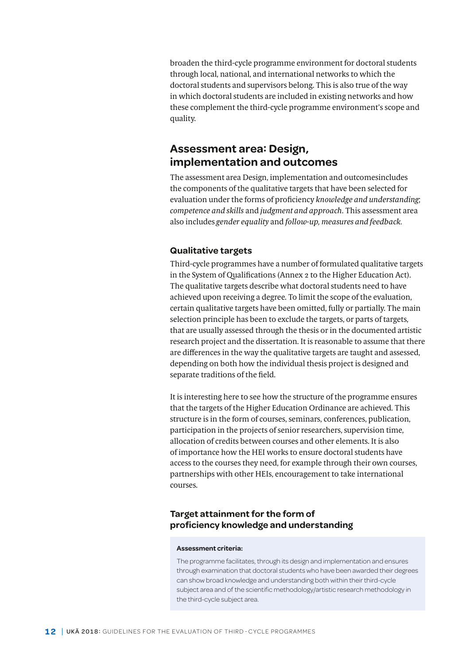<span id="page-11-0"></span>broaden the third-cycle programme environment for doctoral students through local, national, and international networks to which the doctoral students and supervisors belong. This is also true of the way in which doctoral students are included in existing networks and how these complement the third-cycle programme environment's scope and quality.

## **Assessment area: Design, implementation and outcomes**

The assessment area Design, implementation and outcomesincludes the components of the qualitative targets that have been selected for evaluation under the forms of proficiency *knowledge and understanding*; *competence and skills* and *judgment and approach*. This assessment area also includes *gender equality* and *follow-up, measures and feedback.*

#### **Qualitative targets**

Third-cycle programmes have a number of formulated qualitative targets in the System of Qualifications (Annex 2 to the Higher Education Act). The qualitative targets describe what doctoral students need to have achieved upon receiving a degree. To limit the scope of the evaluation, certain qualitative targets have been omitted, fully or partially. The main selection principle has been to exclude the targets, or parts of targets, that are usually assessed through the thesis or in the documented artistic research project and the dissertation. It is reasonable to assume that there are differences in the way the qualitative targets are taught and assessed, depending on both how the individual thesis project is designed and separate traditions of the field.

It is interesting here to see how the structure of the programme ensures that the targets of the Higher Education Ordinance are achieved. This structure is in the form of courses, seminars, conferences, publication, participation in the projects of senior researchers, supervision time, allocation of credits between courses and other elements. It is also of importance how the HEI works to ensure doctoral students have access to the courses they need, for example through their own courses, partnerships with other HEIs, encouragement to take international courses.

### **Target attainment for the form of proficiency knowledge and understanding**

#### **Assessment criteria:**

The programme facilitates, through its design and implementation and ensures through examination that doctoral students who have been awarded their degrees can show broad knowledge and understanding both within their third-cycle subject area and of the scientific methodology/artistic research methodology in the third-cycle subject area.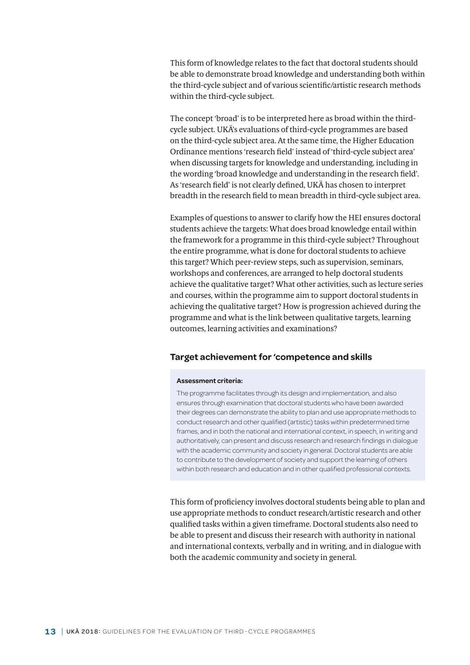This form of knowledge relates to the fact that doctoral students should be able to demonstrate broad knowledge and understanding both within the third-cycle subject and of various scientific/artistic research methods within the third-cycle subject.

The concept 'broad' is to be interpreted here as broad within the thirdcycle subject. UKÄ's evaluations of third-cycle programmes are based on the third-cycle subject area. At the same time, the Higher Education Ordinance mentions 'research field' instead of 'third-cycle subject area' when discussing targets for knowledge and understanding, including in the wording 'broad knowledge and understanding in the research field'. As 'research field' is not clearly defined, UKÄ has chosen to interpret breadth in the research field to mean breadth in third-cycle subject area.

Examples of questions to answer to clarify how the HEI ensures doctoral students achieve the targets: What does broad knowledge entail within the framework for a programme in this third-cycle subject? Throughout the entire programme, what is done for doctoral students to achieve this target? Which peer-review steps, such as supervision, seminars, workshops and conferences, are arranged to help doctoral students achieve the qualitative target? What other activities, such as lecture series and courses, within the programme aim to support doctoral students in achieving the qualitative target? How is progression achieved during the programme and what is the link between qualitative targets, learning outcomes, learning activities and examinations?

#### **Target achievement for 'competence and skills**

#### **Assessment criteria:**

The programme facilitates through its design and implementation, and also ensures through examination that doctoral students who have been awarded their degrees can demonstrate the ability to plan and use appropriate methods to conduct research and other qualified (artistic) tasks within predetermined time frames, and in both the national and international context, in speech, in writing and authoritatively, can present and discuss research and research findings in dialogue with the academic community and society in general. Doctoral students are able to contribute to the development of society and support the learning of others within both research and education and in other qualified professional contexts.

This form of proficiency involves doctoral students being able to plan and use appropriate methods to conduct research/artistic research and other qualified tasks within a given timeframe. Doctoral students also need to be able to present and discuss their research with authority in national and international contexts, verbally and in writing, and in dialogue with both the academic community and society in general.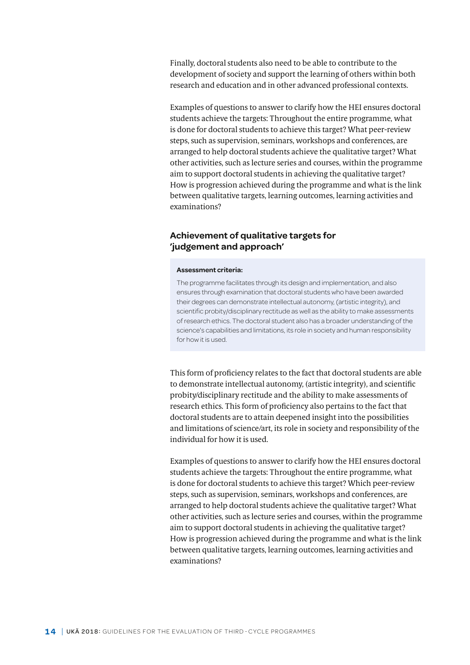Finally, doctoral students also need to be able to contribute to the development of society and support the learning of others within both research and education and in other advanced professional contexts.

Examples of questions to answer to clarify how the HEI ensures doctoral students achieve the targets: Throughout the entire programme, what is done for doctoral students to achieve this target? What peer-review steps, such as supervision, seminars, workshops and conferences, are arranged to help doctoral students achieve the qualitative target? What other activities, such as lecture series and courses, within the programme aim to support doctoral students in achieving the qualitative target? How is progression achieved during the programme and what is the link between qualitative targets, learning outcomes, learning activities and examinations?

#### **Achievement of qualitative targets for 'judgement and approach'**

#### **Assessment criteria:**

The programme facilitates through its design and implementation, and also ensures through examination that doctoral students who have been awarded their degrees can demonstrate intellectual autonomy, (artistic integrity), and scientific probity/disciplinary rectitude as well as the ability to make assessments of research ethics. The doctoral student also has a broader understanding of the science's capabilities and limitations, its role in society and human responsibility for how it is used.

This form of proficiency relates to the fact that doctoral students are able to demonstrate intellectual autonomy, (artistic integrity), and scientific probity/disciplinary rectitude and the ability to make assessments of research ethics. This form of proficiency also pertains to the fact that doctoral students are to attain deepened insight into the possibilities and limitations of science/art, its role in society and responsibility of the individual for how it is used.

Examples of questions to answer to clarify how the HEI ensures doctoral students achieve the targets: Throughout the entire programme, what is done for doctoral students to achieve this target? Which peer-review steps, such as supervision, seminars, workshops and conferences, are arranged to help doctoral students achieve the qualitative target? What other activities, such as lecture series and courses, within the programme aim to support doctoral students in achieving the qualitative target? How is progression achieved during the programme and what is the link between qualitative targets, learning outcomes, learning activities and examinations?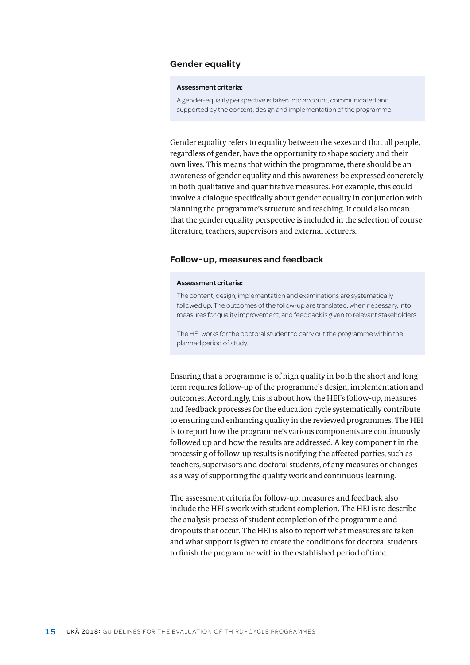#### **Gender equality**

#### **Assessment criteria:**

A gender-equality perspective is taken into account, communicated and supported by the content, design and implementation of the programme.

Gender equality refers to equality between the sexes and that all people, regardless of gender, have the opportunity to shape society and their own lives. This means that within the programme, there should be an awareness of gender equality and this awareness be expressed concretely in both qualitative and quantitative measures. For example, this could involve a dialogue specifically about gender equality in conjunction with planning the programme's structure and teaching. It could also mean that the gender equality perspective is included in the selection of course literature, teachers, supervisors and external lecturers.

#### **Follow-up, measures and feedback**

#### **Assessment criteria:**

The content, design, implementation and examinations are systematically followed up. The outcomes of the follow-up are translated, when necessary, into measures for quality improvement, and feedback is given to relevant stakeholders.

The HEI works for the doctoral student to carry out the programme within the planned period of study.

Ensuring that a programme is of high quality in both the short and long term requires follow-up of the programme's design, implementation and outcomes. Accordingly, this is about how the HEI's follow-up, measures and feedback processes for the education cycle systematically contribute to ensuring and enhancing quality in the reviewed programmes. The HEI is to report how the programme's various components are continuously followed up and how the results are addressed. A key component in the processing of follow-up results is notifying the affected parties, such as teachers, supervisors and doctoral students, of any measures or changes as a way of supporting the quality work and continuous learning.

The assessment criteria for follow-up, measures and feedback also include the HEI's work with student completion. The HEI is to describe the analysis process of student completion of the programme and dropouts that occur. The HEI is also to report what measures are taken and what support is given to create the conditions for doctoral students to finish the programme within the established period of time.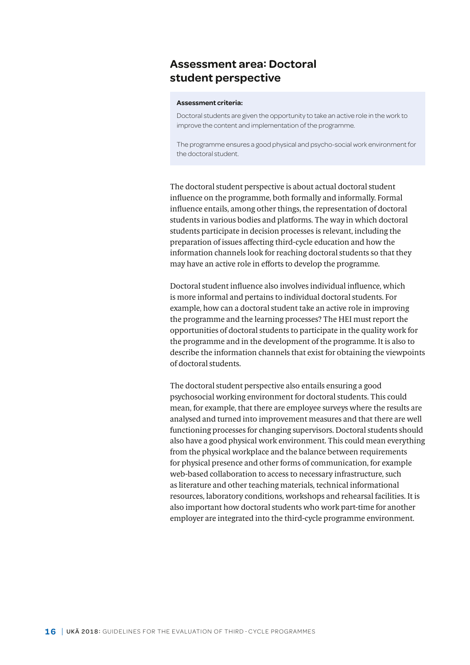## **Assessment area: Doctoral student perspective**

#### **Assessment criteria:**

Doctoral students are given the opportunity to take an active role in the work to improve the content and implementation of the programme.

The programme ensures a good physical and psycho-social work environment for the doctoral student.

The doctoral student perspective is about actual doctoral student influence on the programme, both formally and informally. Formal influence entails, among other things, the representation of doctoral students in various bodies and platforms. The way in which doctoral students participate in decision processes is relevant, including the preparation of issues affecting third-cycle education and how the information channels look for reaching doctoral students so that they may have an active role in efforts to develop the programme.

Doctoral student influence also involves individual influence, which is more informal and pertains to individual doctoral students. For example, how can a doctoral student take an active role in improving the programme and the learning processes? The HEI must report the opportunities of doctoral students to participate in the quality work for the programme and in the development of the programme. It is also to describe the information channels that exist for obtaining the viewpoints of doctoral students.

The doctoral student perspective also entails ensuring a good psychosocial working environment for doctoral students. This could mean, for example, that there are employee surveys where the results are analysed and turned into improvement measures and that there are well functioning processes for changing supervisors. Doctoral students should also have a good physical work environment. This could mean everything from the physical workplace and the balance between requirements for physical presence and other forms of communication, for example web-based collaboration to access to necessary infrastructure, such as literature and other teaching materials, technical informational resources, laboratory conditions, workshops and rehearsal facilities. It is also important how doctoral students who work part-time for another employer are integrated into the third-cycle programme environment.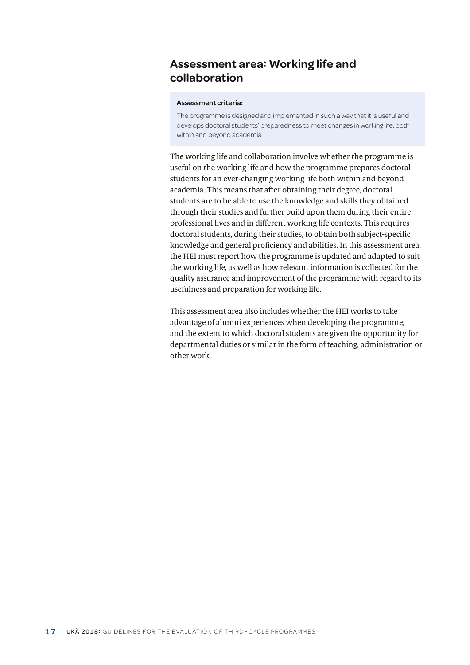## **Assessment area: Working life and collaboration**

#### **Assessment criteria:**

The programme is designed and implemented in such a way that it is useful and develops doctoral students' preparedness to meet changes in working life, both within and beyond academia.

The working life and collaboration involve whether the programme is useful on the working life and how the programme prepares doctoral students for an ever-changing working life both within and beyond academia. This means that after obtaining their degree, doctoral students are to be able to use the knowledge and skills they obtained through their studies and further build upon them during their entire professional lives and in different working life contexts. This requires doctoral students, during their studies, to obtain both subject-specific knowledge and general proficiency and abilities. In this assessment area, the HEI must report how the programme is updated and adapted to suit the working life, as well as how relevant information is collected for the quality assurance and improvement of the programme with regard to its usefulness and preparation for working life.

This assessment area also includes whether the HEI works to take advantage of alumni experiences when developing the programme, and the extent to which doctoral students are given the opportunity for departmental duties or similar in the form of teaching, administration or other work.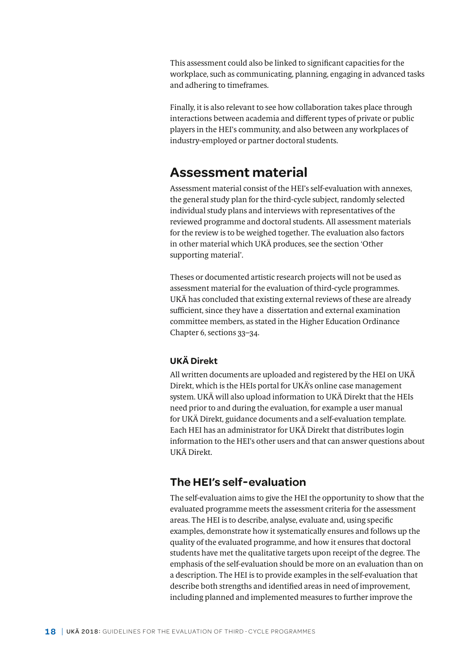<span id="page-17-0"></span>This assessment could also be linked to significant capacities for the workplace, such as communicating, planning, engaging in advanced tasks and adhering to timeframes.

Finally, it is also relevant to see how collaboration takes place through interactions between academia and different types of private or public players in the HEI's community, and also between any workplaces of industry-employed or partner doctoral students.

## **Assessment material**

Assessment material consist of the HEI's self-evaluation with annexes, the general study plan for the third-cycle subject, randomly selected individual study plans and interviews with representatives of the reviewed programme and doctoral students. All assessment materials for the review is to be weighed together. The evaluation also factors in other material which UKÄ produces, see the section 'Other supporting material'.

Theses or documented artistic research projects will not be used as assessment material for the evaluation of third-cycle programmes. UKÄ has concluded that existing external reviews of these are already sufficient, since they have a dissertation and external examination committee members, as stated in the Higher Education Ordinance Chapter 6, sections 33–34.

## **UKÄ Direkt**

All written documents are uploaded and registered by the HEI on UKÄ Direkt, which is the HEIs portal for UKÄ's online case management system. UKÄ will also upload information to UKÄ Direkt that the HEIs need prior to and during the evaluation, for example a user manual for UKÄ Direkt, guidance documents and a self-evaluation template. Each HEI has an administrator for UKÄ Direkt that distributes login information to the HEI's other users and that can answer questions about UKÄ Direkt.

## **The HEI's self-evaluation**

The self-evaluation aims to give the HEI the opportunity to show that the evaluated programme meets the assessment criteria for the assessment areas. The HEI is to describe, analyse, evaluate and, using specific examples, demonstrate how it systematically ensures and follows up the quality of the evaluated programme, and how it ensures that doctoral students have met the qualitative targets upon receipt of the degree. The emphasis of the self-evaluation should be more on an evaluation than on a description. The HEI is to provide examples in the self-evaluation that describe both strengths and identified areas in need of improvement, including planned and implemented measures to further improve the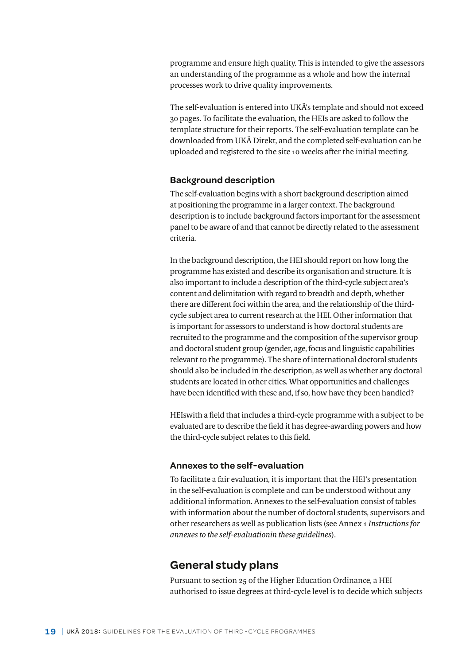<span id="page-18-0"></span>programme and ensure high quality. This is intended to give the assessors an understanding of the programme as a whole and how the internal processes work to drive quality improvements.

The self-evaluation is entered into UKÄ's template and should not exceed 30 pages. To facilitate the evaluation, the HEIs are asked to follow the template structure for their reports. The self-evaluation template can be downloaded from UKÄ Direkt, and the completed self-evaluation can be uploaded and registered to the site 10 weeks after the initial meeting.

#### **Background description**

The self-evaluation begins with a short background description aimed at positioning the programme in a larger context. The background description is to include background factors important for the assessment panel to be aware of and that cannot be directly related to the assessment criteria.

In the background description, the HEI should report on how long the programme has existed and describe its organisation and structure. It is also important to include a description of the third-cycle subject area's content and delimitation with regard to breadth and depth, whether there are different foci within the area, and the relationship of the thirdcycle subject area to current research at the HEI. Other information that is important for assessors to understand is how doctoral students are recruited to the programme and the composition of the supervisor group and doctoral student group (gender, age, focus and linguistic capabilities relevant to the programme). The share of international doctoral students should also be included in the description, as well as whether any doctoral students are located in other cities. What opportunities and challenges have been identified with these and, if so, how have they been handled?

HEIswith a field that includes a third-cycle programme with a subject to be evaluated are to describe the field it has degree-awarding powers and how the third-cycle subject relates to this field.

#### **Annexes to the self-evaluation**

To facilitate a fair evaluation, it is important that the HEI's presentation in the self-evaluation is complete and can be understood without any additional information. Annexes to the self-evaluation consist of tables with information about the number of doctoral students, supervisors and other researchers as well as publication lists (see Annex 1 *Instructions for annexes to the self-evaluationin these guidelines*).

## **General study plans**

Pursuant to section 25 of the Higher Education Ordinance, a HEI authorised to issue degrees at third-cycle level is to decide which subjects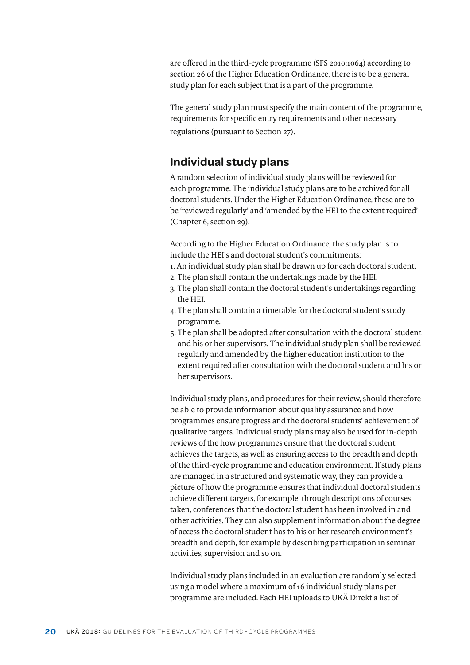<span id="page-19-0"></span>are offered in the third-cycle programme (SFS 2010:1064) according to section 26 of the Higher Education Ordinance, there is to be a general study plan for each subject that is a part of the programme.

The general study plan must specify the main content of the programme, requirements for specific entry requirements and other necessary regulations (pursuant to Section 27).

## **Individual study plans**

A random selection of individual study plans will be reviewed for each programme. The individual study plans are to be archived for all doctoral students. Under the Higher Education Ordinance, these are to be 'reviewed regularly' and 'amended by the HEI to the extent required' (Chapter 6, section 29).

According to the Higher Education Ordinance, the study plan is to include the HEI's and doctoral student's commitments:

- 1. An individual study plan shall be drawn up for each doctoral student.
- 2. The plan shall contain the undertakings made by the HEI.
- 3. The plan shall contain the doctoral student's undertakings regarding the HEI.
- 4. The plan shall contain a timetable for the doctoral student's study programme.
- 5. The plan shall be adopted after consultation with the doctoral student and his or her supervisors. The individual study plan shall be reviewed regularly and amended by the higher education institution to the extent required after consultation with the doctoral student and his or her supervisors.

Individual study plans, and procedures for their review, should therefore be able to provide information about quality assurance and how programmes ensure progress and the doctoral students' achievement of qualitative targets. Individual study plans may also be used for in-depth reviews of the how programmes ensure that the doctoral student achieves the targets, as well as ensuring access to the breadth and depth of the third-cycle programme and education environment. If study plans are managed in a structured and systematic way, they can provide a picture of how the programme ensures that individual doctoral students achieve different targets, for example, through descriptions of courses taken, conferences that the doctoral student has been involved in and other activities. They can also supplement information about the degree of access the doctoral student has to his or her research environment's breadth and depth, for example by describing participation in seminar activities, supervision and so on.

Individual study plans included in an evaluation are randomly selected using a model where a maximum of 16 individual study plans per programme are included. Each HEI uploads to UKÄ Direkt a list of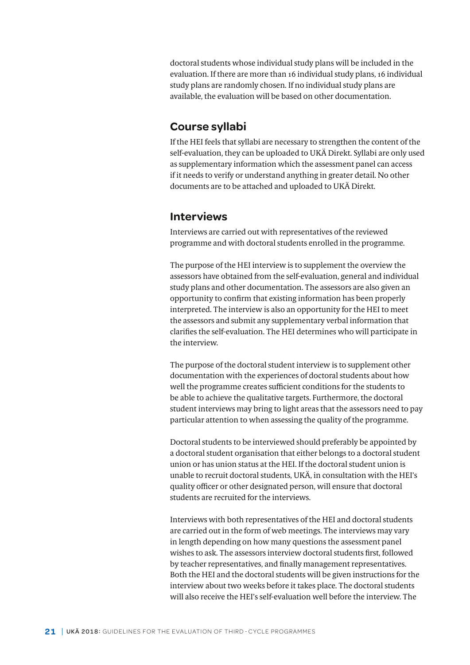<span id="page-20-0"></span>doctoral students whose individual study plans will be included in the evaluation. If there are more than 16 individual study plans, 16 individual study plans are randomly chosen. If no individual study plans are available, the evaluation will be based on other documentation.

## **Course syllabi**

If the HEI feels that syllabi are necessary to strengthen the content of the self-evaluation, they can be uploaded to UKÄ Direkt. Syllabi are only used as supplementary information which the assessment panel can access if it needs to verify or understand anything in greater detail. No other documents are to be attached and uploaded to UKÄ Direkt.

## **Interviews**

Interviews are carried out with representatives of the reviewed programme and with doctoral students enrolled in the programme.

The purpose of the HEI interview is to supplement the overview the assessors have obtained from the self-evaluation, general and individual study plans and other documentation. The assessors are also given an opportunity to confirm that existing information has been properly interpreted. The interview is also an opportunity for the HEI to meet the assessors and submit any supplementary verbal information that clarifies the self-evaluation. The HEI determines who will participate in the interview.

The purpose of the doctoral student interview is to supplement other documentation with the experiences of doctoral students about how well the programme creates sufficient conditions for the students to be able to achieve the qualitative targets. Furthermore, the doctoral student interviews may bring to light areas that the assessors need to pay particular attention to when assessing the quality of the programme.

Doctoral students to be interviewed should preferably be appointed by a doctoral student organisation that either belongs to a doctoral student union or has union status at the HEI. If the doctoral student union is unable to recruit doctoral students, UKÄ, in consultation with the HEI's quality officer or other designated person, will ensure that doctoral students are recruited for the interviews.

Interviews with both representatives of the HEI and doctoral students are carried out in the form of web meetings. The interviews may vary in length depending on how many questions the assessment panel wishes to ask. The assessors interview doctoral students first, followed by teacher representatives, and finally management representatives. Both the HEI and the doctoral students will be given instructions for the interview about two weeks before it takes place. The doctoral students will also receive the HEI's self-evaluation well before the interview. The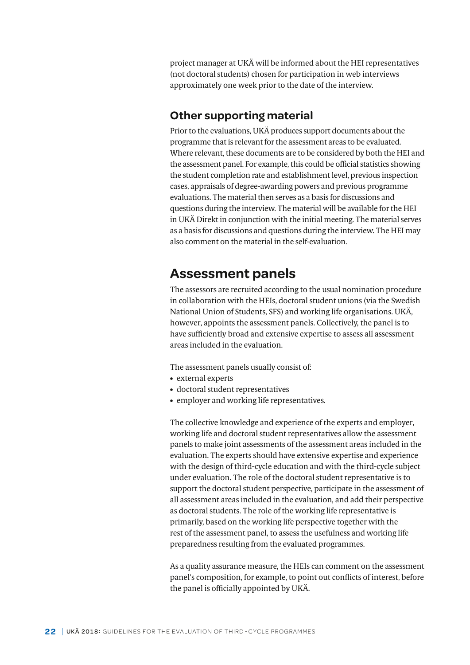<span id="page-21-0"></span>project manager at UKÄ will be informed about the HEI representatives (not doctoral students) chosen for participation in web interviews approximately one week prior to the date of the interview.

## **Other supporting material**

Prior to the evaluations, UKÄ produces support documents about the programme that is relevant for the assessment areas to be evaluated. Where relevant, these documents are to be considered by both the HEI and the assessment panel. For example, this could be official statistics showing the student completion rate and establishment level, previous inspection cases, appraisals of degree-awarding powers and previous programme evaluations. The material then serves as a basis for discussions and questions during the interview. The material will be available for the HEI in UKÄ Direkt in conjunction with the initial meeting. The material serves as a basis for discussions and questions during the interview. The HEI may also comment on the material in the self-evaluation.

## **Assessment panels**

The assessors are recruited according to the usual nomination procedure in collaboration with the HEIs, doctoral student unions (via the Swedish National Union of Students, SFS) and working life organisations. UKÄ, however, appoints the assessment panels. Collectively, the panel is to have sufficiently broad and extensive expertise to assess all assessment areas included in the evaluation.

The assessment panels usually consist of:

- external experts
- doctoral student representatives
- employer and working life representatives.

The collective knowledge and experience of the experts and employer, working life and doctoral student representatives allow the assessment panels to make joint assessments of the assessment areas included in the evaluation. The experts should have extensive expertise and experience with the design of third-cycle education and with the third-cycle subject under evaluation. The role of the doctoral student representative is to support the doctoral student perspective, participate in the assessment of all assessment areas included in the evaluation, and add their perspective as doctoral students. The role of the working life representative is primarily, based on the working life perspective together with the rest of the assessment panel, to assess the usefulness and working life preparedness resulting from the evaluated programmes.

As a quality assurance measure, the HEIs can comment on the assessment panel's composition, for example, to point out conflicts of interest, before the panel is officially appointed by UKÄ.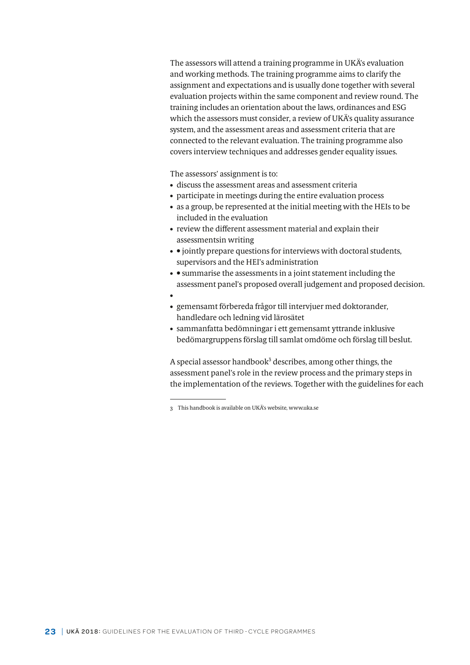The assessors will attend a training programme in UKÄ's evaluation and working methods. The training programme aims to clarify the assignment and expectations and is usually done together with several evaluation projects within the same component and review round. The training includes an orientation about the laws, ordinances and ESG which the assessors must consider, a review of UKÄ's quality assurance system, and the assessment areas and assessment criteria that are connected to the relevant evaluation. The training programme also covers interview techniques and addresses gender equality issues.

The assessors' assignment is to:

- discuss the assessment areas and assessment criteria
- participate in meetings during the entire evaluation process
- as a group, be represented at the initial meeting with the HEIs to be included in the evaluation
- review the different assessment material and explain their assessmentsin writing
- • jointly prepare questions for interviews with doctoral students, supervisors and the HEI's administration
- • summarise the assessments in a joint statement including the assessment panel's proposed overall judgement and proposed decision.
- •
- gemensamt förbereda frågor till intervjuer med doktorander, handledare och ledning vid lärosätet
- sammanfatta bedömningar i ett gemensamt yttrande inklusive bedömargruppens förslag till samlat omdöme och förslag till beslut.

A special assessor handbook<sup>3</sup> describes, among other things, the assessment panel's role in the review process and the primary steps in the implementation of the reviews. Together with the guidelines for each

<sup>3</sup> This handbook is available on UKÄ's website, www.uka.se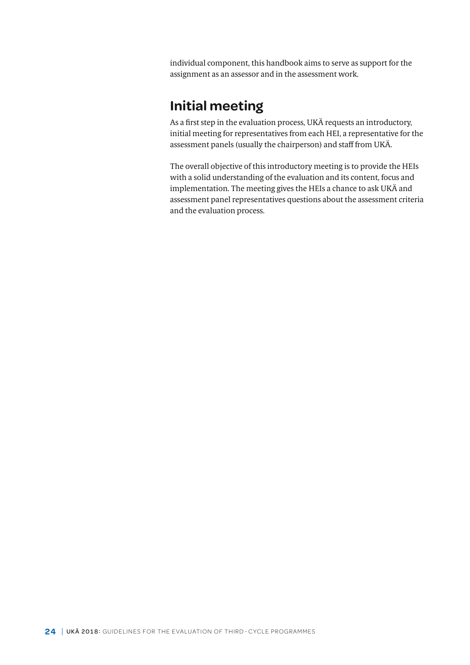<span id="page-23-0"></span>individual component, this handbook aims to serve as support for the assignment as an assessor and in the assessment work.

# **Initial meeting**

As a first step in the evaluation process, UKÄ requests an introductory, initial meeting for representatives from each HEI, a representative for the assessment panels (usually the chairperson) and staff from UKÄ.

The overall objective of this introductory meeting is to provide the HEIs with a solid understanding of the evaluation and its content, focus and implementation. The meeting gives the HEIs a chance to ask UKÄ and assessment panel representatives questions about the assessment criteria and the evaluation process.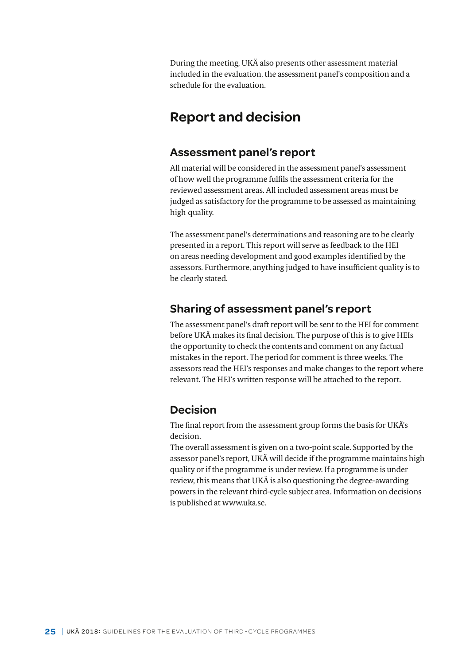<span id="page-24-0"></span>During the meeting, UKÄ also presents other assessment material included in the evaluation, the assessment panel's composition and a schedule for the evaluation.

## **Report and decision**

## **Assessment panel's report**

All material will be considered in the assessment panel's assessment of how well the programme fulfils the assessment criteria for the reviewed assessment areas. All included assessment areas must be judged as satisfactory for the programme to be assessed as maintaining high quality.

The assessment panel's determinations and reasoning are to be clearly presented in a report. This report will serve as feedback to the HEI on areas needing development and good examples identified by the assessors. Furthermore, anything judged to have insufficient quality is to be clearly stated.

## **Sharing of assessment panel's report**

The assessment panel's draft report will be sent to the HEI for comment before UKÄ makes its final decision. The purpose of this is to give HEIs the opportunity to check the contents and comment on any factual mistakes in the report. The period for comment is three weeks. The assessors read the HEI's responses and make changes to the report where relevant. The HEI's written response will be attached to the report.

## **Decision**

The final report from the assessment group forms the basis for UKÄ's decision.

The overall assessment is given on a two-point scale. Supported by the assessor panel's report, UKÄ will decide if the programme maintains high quality or if the programme is under review. If a programme is under review, this means that UKÄ is also questioning the degree-awarding powers in the relevant third-cycle subject area. Information on decisions is published at www.uka.se.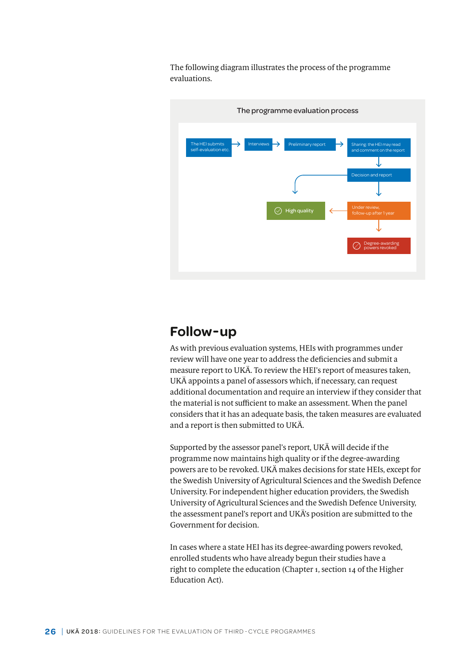The following diagram illustrates the process of the programme evaluations.



## **Follow-up**

As with previous evaluation systems, HEIs with programmes under review will have one year to address the deficiencies and submit a measure report to UKÄ. To review the HEI's report of measures taken, UKÄ appoints a panel of assessors which, if necessary, can request additional documentation and require an interview if they consider that the material is not sufficient to make an assessment. When the panel considers that it has an adequate basis, the taken measures are evaluated and a report is then submitted to UKÄ.

Supported by the assessor panel's report, UKÄ will decide if the programme now maintains high quality or if the degree-awarding powers are to be revoked. UKÄ makes decisions for state HEIs, except for the Swedish University of Agricultural Sciences and the Swedish Defence University. For independent higher education providers, the Swedish University of Agricultural Sciences and the Swedish Defence University, the assessment panel's report and UKÄ's position are submitted to the Government for decision.

In cases where a state HEI has its degree-awarding powers revoked, enrolled students who have already begun their studies have a right to complete the education (Chapter 1, section 14 of the Higher Education Act).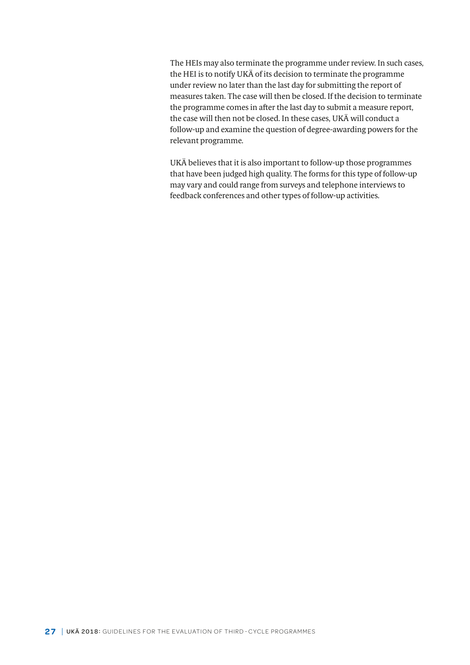<span id="page-26-0"></span>The HEIs may also terminate the programme under review. In such cases, the HEI is to notify UKÄ of its decision to terminate the programme under review no later than the last day for submitting the report of measures taken. The case will then be closed. If the decision to terminate the programme comes in after the last day to submit a measure report, the case will then not be closed. In these cases, UKÄ will conduct a follow-up and examine the question of degree-awarding powers for the relevant programme.

UKÄ believes that it is also important to follow-up those programmes that have been judged high quality. The forms for this type of follow-up may vary and could range from surveys and telephone interviews to feedback conferences and other types of follow-up activities.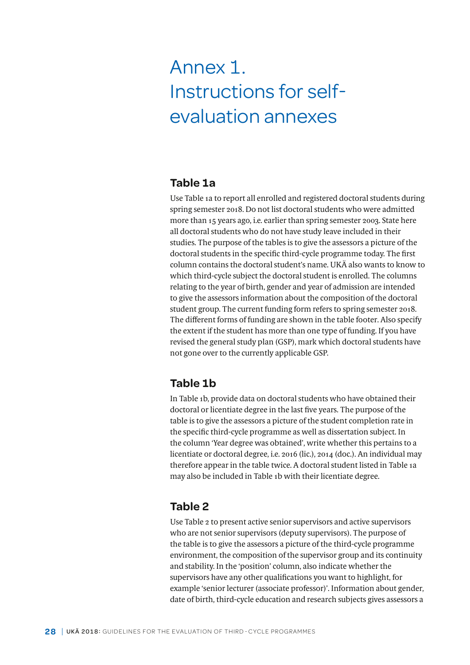# <span id="page-27-0"></span>Annex 1. Instructions for selfevaluation annexes

## **Table 1a**

Use Table 1a to report all enrolled and registered doctoral students during spring semester 2018. Do not list doctoral students who were admitted more than 15 years ago, i.e. earlier than spring semester 2003. State here all doctoral students who do not have study leave included in their studies. The purpose of the tables is to give the assessors a picture of the doctoral students in the specific third-cycle programme today. The first column contains the doctoral student's name. UKÄ also wants to know to which third-cycle subject the doctoral student is enrolled. The columns relating to the year of birth, gender and year of admission are intended to give the assessors information about the composition of the doctoral student group. The current funding form refers to spring semester 2018. The different forms of funding are shown in the table footer. Also specify the extent if the student has more than one type of funding. If you have revised the general study plan (GSP), mark which doctoral students have not gone over to the currently applicable GSP.

## **Table 1b**

In Table 1b, provide data on doctoral students who have obtained their doctoral or licentiate degree in the last five years. The purpose of the table is to give the assessors a picture of the student completion rate in the specific third-cycle programme as well as dissertation subject. In the column 'Year degree was obtained', write whether this pertains to a licentiate or doctoral degree, i.e. 2016 (lic.), 2014 (doc.). An individual may therefore appear in the table twice. A doctoral student listed in Table 1a may also be included in Table 1b with their licentiate degree.

## **Table 2**

Use Table 2 to present active senior supervisors and active supervisors who are not senior supervisors (deputy supervisors). The purpose of the table is to give the assessors a picture of the third-cycle programme environment, the composition of the supervisor group and its continuity and stability. In the 'position' column, also indicate whether the supervisors have any other qualifications you want to highlight, for example 'senior lecturer (associate professor)'. Information about gender, date of birth, third-cycle education and research subjects gives assessors a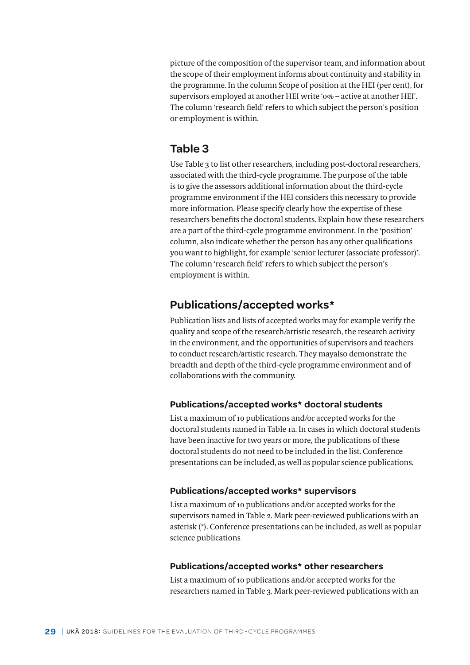<span id="page-28-0"></span>picture of the composition of the supervisor team, and information about the scope of their employment informs about continuity and stability in the programme. In the column Scope of position at the HEI (per cent), for supervisors employed at another HEI write '0% – active at another HEI'. The column 'research field' refers to which subject the person's position or employment is within.

## **Table 3**

Use Table 3 to list other researchers, including post-doctoral researchers, associated with the third-cycle programme. The purpose of the table is to give the assessors additional information about the third-cycle programme environment if the HEI considers this necessary to provide more information. Please specify clearly how the expertise of these researchers benefits the doctoral students. Explain how these researchers are a part of the third-cycle programme environment. In the 'position' column, also indicate whether the person has any other qualifications you want to highlight, for example 'senior lecturer (associate professor)'. The column 'research field' refers to which subject the person's employment is within.

## **Publications/accepted works\***

Publication lists and lists of accepted works may for example verify the quality and scope of the research/artistic research, the research activity in the environment, and the opportunities of supervisors and teachers to conduct research/artistic research. They mayalso demonstrate the breadth and depth of the third-cycle programme environment and of collaborations with the community.

### **Publications/accepted works\* doctoral students**

List a maximum of 10 publications and/or accepted works for the doctoral students named in Table 1a. In cases in which doctoral students have been inactive for two years or more, the publications of these doctoral students do not need to be included in the list. Conference presentations can be included, as well as popular science publications.

### **Publications/accepted works\* supervisors**

List a maximum of 10 publications and/or accepted works for the supervisors named in Table 2. Mark peer-reviewed publications with an asterisk (\*). Conference presentations can be included, as well as popular science publications

### **Publications/accepted works\* other researchers**

List a maximum of 10 publications and/or accepted works for the researchers named in Table 3. Mark peer-reviewed publications with an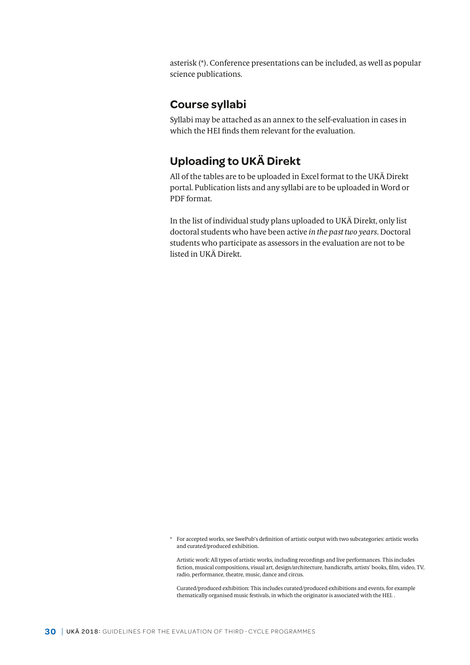<span id="page-29-0"></span>asterisk (\*). Conference presentations can be included, as well as popular science publications.

## **Course syllabi**

Syllabi may be attached as an annex to the self-evaluation in cases in which the HEI finds them relevant for the evaluation.

## **Uploading to UKÄ Direkt**

All of the tables are to be uploaded in Excel format to the UKÄ Direkt portal. Publication lists and any syllabi are to be uploaded in Word or PDF format.

In the list of individual study plans uploaded to UKÄ Direkt, only list doctoral students who have been active *in the past two years*. Doctoral students who participate as assessors in the evaluation are not to be listed in UKÄ Direkt.

Artistic work: All types of artistic works, including recordings and live performances. This includes fiction, musical compositions, visual art, design/architecture, handicrafts, artists' books, film, video, TV, radio, performance, theatre, music, dance and circus.

Curated/produced exhibition: This includes curated/produced exhibitions and events, for example thematically organised music festivals, in which the originator is associated with the HEI. .

<sup>\*</sup> For accepted works, see SwePub's definition of artistic output with two subcategories: artistic works and curated/produced exhibition.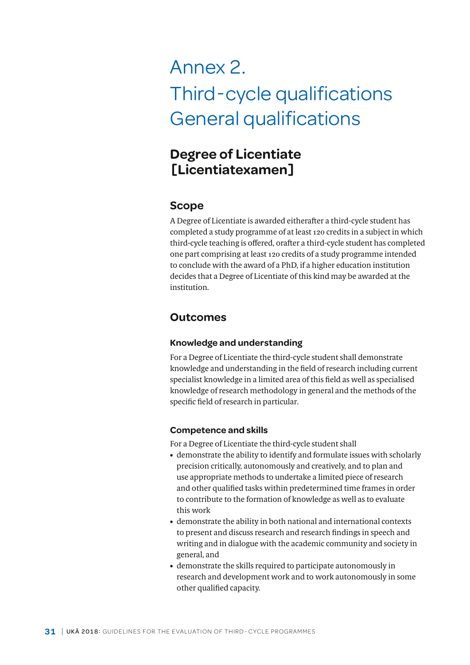# <span id="page-30-0"></span>Annex 2. Third-cycle qualifications General qualifications

# **Degree of Licentiate [Licentiatexamen]**

## **Scope**

A Degree of Licentiate is awarded eitherafter a third-cycle student has completed a study programme of at least 120 credits in a subject in which third-cycle teaching is offered, orafter a third-cycle student has completed one part comprising at least 120 credits of a study programme intended to conclude with the award of a PhD, if a higher education institution decides that a Degree of Licentiate of this kind may be awarded at the institution.

## **Outcomes**

### **Knowledge and understanding**

For a Degree of Licentiate the third-cycle student shall demonstrate knowledge and understanding in the field of research including current specialist knowledge in a limited area of this field as well as specialised knowledge of research methodology in general and the methods of the specific field of research in particular.

### **Competence and skills**

For a Degree of Licentiate the third-cycle student shall

- demonstrate the ability to identify and formulate issues with scholarly precision critically, autonomously and creatively, and to plan and use appropriate methods to undertake a limited piece of research and other qualified tasks within predetermined time frames in order to contribute to the formation of knowledge as well as to evaluate this work
- demonstrate the ability in both national and international contexts to present and discuss research and research findings in speech and writing and in dialogue with the academic community and society in general, and
- demonstrate the skills required to participate autonomously in research and development work and to work autonomously in some other qualified capacity.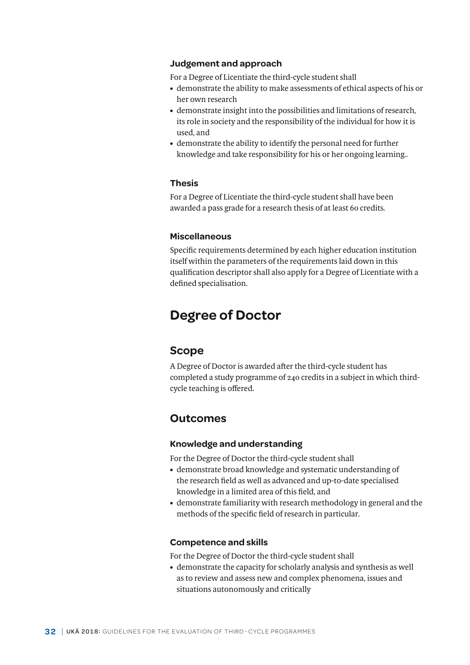#### **Judgement and approach**

For a Degree of Licentiate the third-cycle student shall

- demonstrate the ability to make assessments of ethical aspects of his or her own research
- demonstrate insight into the possibilities and limitations of research, its role in society and the responsibility of the individual for how it is used, and
- demonstrate the ability to identify the personal need for further knowledge and take responsibility for his or her ongoing learning..

#### **Thesis**

For a Degree of Licentiate the third-cycle student shall have been awarded a pass grade for a research thesis of at least 60 credits.

#### **Miscellaneous**

Specific requirements determined by each higher education institution itself within the parameters of the requirements laid down in this qualification descriptor shall also apply for a Degree of Licentiate with a defined specialisation.

## **Degree of Doctor**

### **Scope**

A Degree of Doctor is awarded after the third-cycle student has completed a study programme of 240 credits in a subject in which thirdcycle teaching is offered.

## **Outcomes**

#### **Knowledge and understanding**

For the Degree of Doctor the third-cycle student shall

- demonstrate broad knowledge and systematic understanding of the research field as well as advanced and up-to-date specialised knowledge in a limited area of this field, and
- demonstrate familiarity with research methodology in general and the methods of the specific field of research in particular.

#### **Competence and skills**

For the Degree of Doctor the third-cycle student shall

• demonstrate the capacity for scholarly analysis and synthesis as well as to review and assess new and complex phenomena, issues and situations autonomously and critically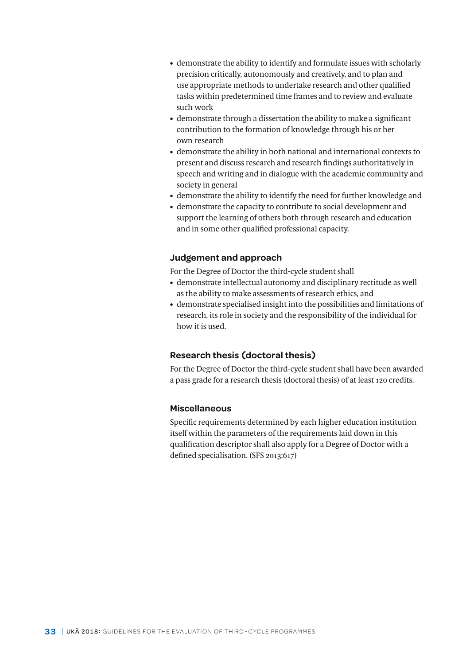- demonstrate the ability to identify and formulate issues with scholarly precision critically, autonomously and creatively, and to plan and use appropriate methods to undertake research and other qualified tasks within predetermined time frames and to review and evaluate such work
- demonstrate through a dissertation the ability to make a significant contribution to the formation of knowledge through his or her own research
- demonstrate the ability in both national and international contexts to present and discuss research and research findings authoritatively in speech and writing and in dialogue with the academic community and society in general
- demonstrate the ability to identify the need for further knowledge and
- demonstrate the capacity to contribute to social development and support the learning of others both through research and education and in some other qualified professional capacity.

#### **Judgement and approach**

For the Degree of Doctor the third-cycle student shall

- demonstrate intellectual autonomy and disciplinary rectitude as well as the ability to make assessments of research ethics, and
- demonstrate specialised insight into the possibilities and limitations of research, its role in society and the responsibility of the individual for how it is used.

### **Research thesis (doctoral thesis)**

For the Degree of Doctor the third-cycle student shall have been awarded a pass grade for a research thesis (doctoral thesis) of at least 120 credits.

#### **Miscellaneous**

Specific requirements determined by each higher education institution itself within the parameters of the requirements laid down in this qualification descriptor shall also apply for a Degree of Doctor with a defined specialisation. (SFS 2013:617)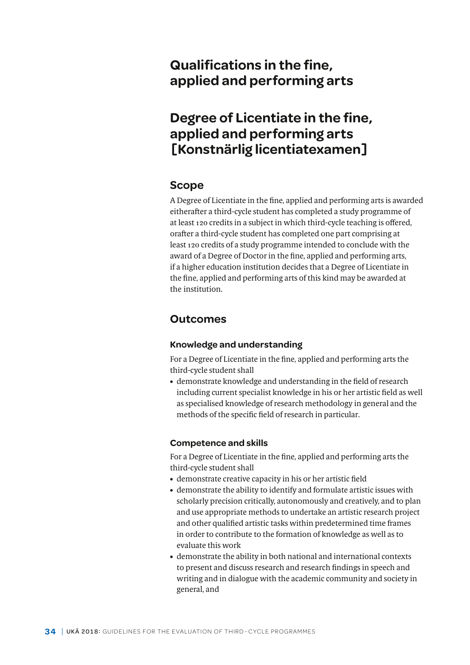# **Qualifications in the fine, applied and performing arts**

# **Degree of Licentiate in the fine, applied and performing arts [Konstnärlig licentiatexamen]**

## **Scope**

A Degree of Licentiate in the fine, applied and performing arts is awarded eitherafter a third-cycle student has completed a study programme of at least 120 credits in a subject in which third-cycle teaching is offered, orafter a third-cycle student has completed one part comprising at least 120 credits of a study programme intended to conclude with the award of a Degree of Doctor in the fine, applied and performing arts, if a higher education institution decides that a Degree of Licentiate in the fine, applied and performing arts of this kind may be awarded at the institution.

## **Outcomes**

### **Knowledge and understanding**

For a Degree of Licentiate in the fine, applied and performing arts the third-cycle student shall

• demonstrate knowledge and understanding in the field of research including current specialist knowledge in his or her artistic field as well as specialised knowledge of research methodology in general and the methods of the specific field of research in particular.

### **Competence and skills**

For a Degree of Licentiate in the fine, applied and performing arts the third-cycle student shall

- demonstrate creative capacity in his or her artistic field
- demonstrate the ability to identify and formulate artistic issues with scholarly precision critically, autonomously and creatively, and to plan and use appropriate methods to undertake an artistic research project and other qualified artistic tasks within predetermined time frames in order to contribute to the formation of knowledge as well as to evaluate this work
- demonstrate the ability in both national and international contexts to present and discuss research and research findings in speech and writing and in dialogue with the academic community and society in general, and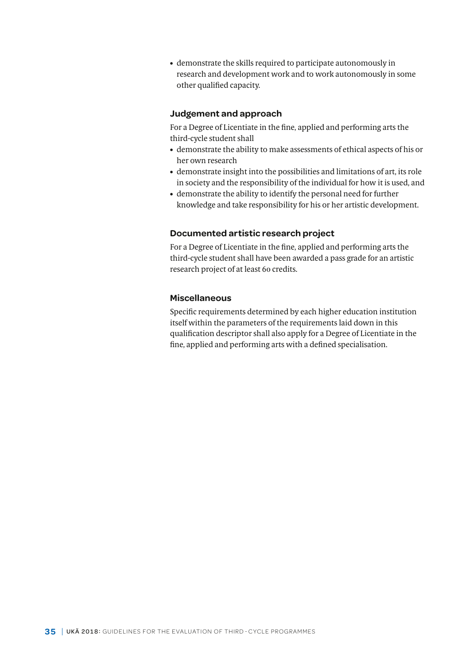• demonstrate the skills required to participate autonomously in research and development work and to work autonomously in some other qualified capacity.

#### **Judgement and approach**

For a Degree of Licentiate in the fine, applied and performing arts the third-cycle student shall

- demonstrate the ability to make assessments of ethical aspects of his or her own research
- demonstrate insight into the possibilities and limitations of art, its role in society and the responsibility of the individual for how it is used, and
- demonstrate the ability to identify the personal need for further knowledge and take responsibility for his or her artistic development.

#### **Documented artistic research project**

For a Degree of Licentiate in the fine, applied and performing arts the third-cycle student shall have been awarded a pass grade for an artistic research project of at least 60 credits.

## **Miscellaneous**

Specific requirements determined by each higher education institution itself within the parameters of the requirements laid down in this qualification descriptor shall also apply for a Degree of Licentiate in the fine, applied and performing arts with a defined specialisation.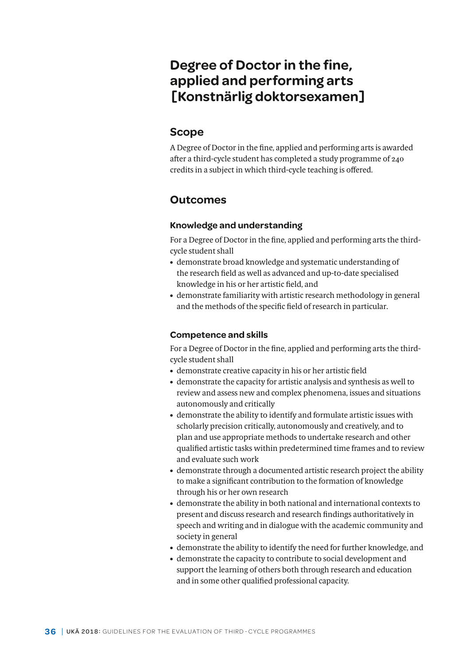# **Degree of Doctor in the fine, applied and performing arts [Konstnärlig doktorsexamen]**

## **Scope**

A Degree of Doctor in the fine, applied and performing arts is awarded after a third-cycle student has completed a study programme of 240 credits in a subject in which third-cycle teaching is offered.

## **Outcomes**

## **Knowledge and understanding**

For a Degree of Doctor in the fine, applied and performing arts the thirdcycle student shall

- demonstrate broad knowledge and systematic understanding of the research field as well as advanced and up-to-date specialised knowledge in his or her artistic field, and
- demonstrate familiarity with artistic research methodology in general and the methods of the specific field of research in particular.

## **Competence and skills**

For a Degree of Doctor in the fine, applied and performing arts the thirdcycle student shall

- demonstrate creative capacity in his or her artistic field
- demonstrate the capacity for artistic analysis and synthesis as well to review and assess new and complex phenomena, issues and situations autonomously and critically
- demonstrate the ability to identify and formulate artistic issues with scholarly precision critically, autonomously and creatively, and to plan and use appropriate methods to undertake research and other qualified artistic tasks within predetermined time frames and to review and evaluate such work
- demonstrate through a documented artistic research project the ability to make a significant contribution to the formation of knowledge through his or her own research
- demonstrate the ability in both national and international contexts to present and discuss research and research findings authoritatively in speech and writing and in dialogue with the academic community and society in general
- demonstrate the ability to identify the need for further knowledge, and
- demonstrate the capacity to contribute to social development and support the learning of others both through research and education and in some other qualified professional capacity.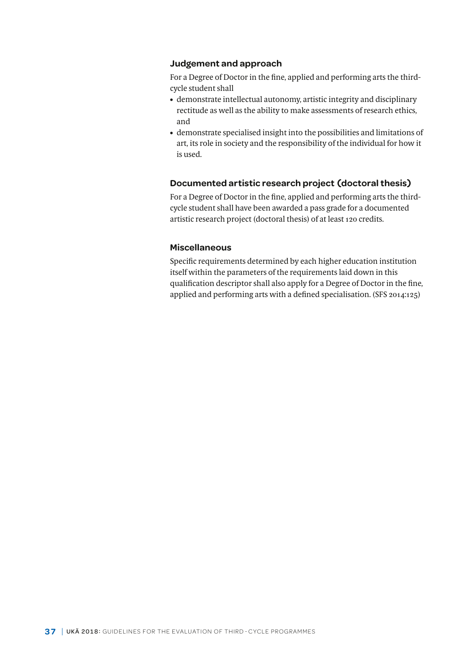#### **Judgement and approach**

For a Degree of Doctor in the fine, applied and performing arts the thirdcycle student shall

- demonstrate intellectual autonomy, artistic integrity and disciplinary rectitude as well as the ability to make assessments of research ethics, and
- demonstrate specialised insight into the possibilities and limitations of art, its role in society and the responsibility of the individual for how it is used.

#### **Documented artistic research project (doctoral thesis)**

For a Degree of Doctor in the fine, applied and performing arts the thirdcycle student shall have been awarded a pass grade for a documented artistic research project (doctoral thesis) of at least 120 credits.

### **Miscellaneous**

Specific requirements determined by each higher education institution itself within the parameters of the requirements laid down in this qualification descriptor shall also apply for a Degree of Doctor in the fine, applied and performing arts with a defined specialisation. (SFS 2014:125)